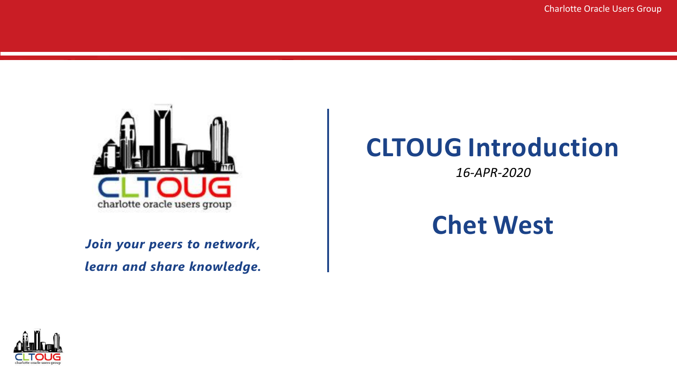

*Join your peers to network, learn and share knowledge.*

#### **CLTOUG Introduction**

*16-APR-2020*

#### **Chet West**

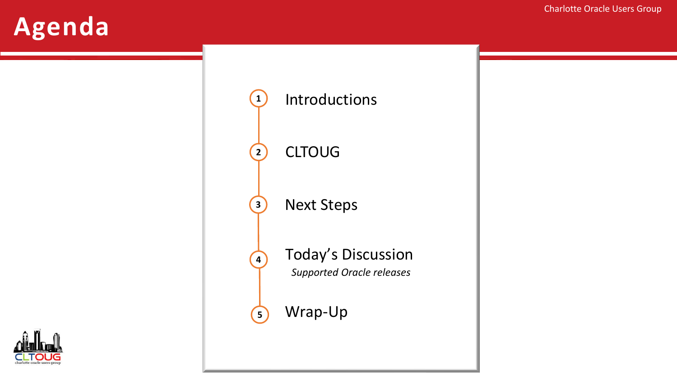#### **Agenda**

 CLTOUG Today's Discussion *Supported Oracle releases* Next Steps Wrap-Up

Introductions

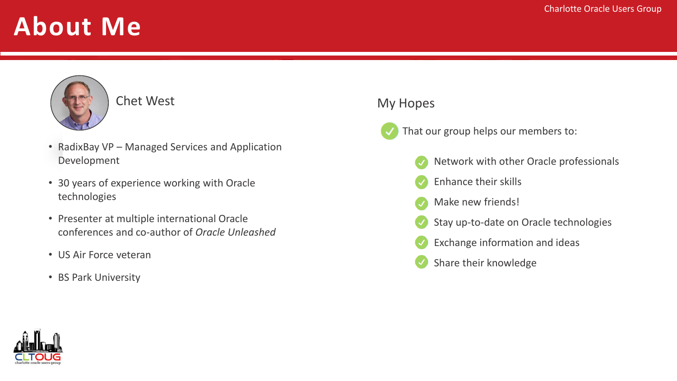#### **About Me**

# Chet West

- RadixBay VP Managed Services and Application Development
- 30 years of experience working with Oracle technologies
- Presenter at multiple international Oracle conferences and co-author of *Oracle Unleashed*
- US Air Force veteran
- BS Park University

#### My Hopes

- That our group helps our members to:
	- Network with other Oracle professionals
	- Enhance their skills
	- Make new friends!
	- Stay up-to-date on Oracle technologies
	- Exchange information and ideas
	- Share their knowledge

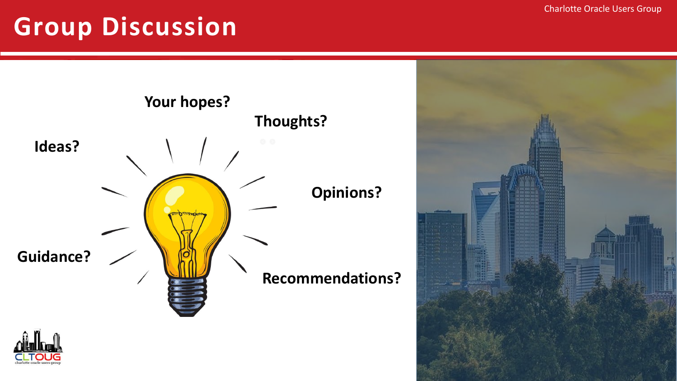#### **Group Discussion**





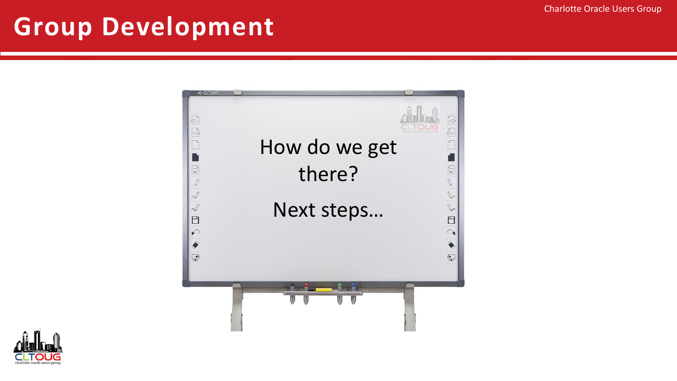#### **Group Development**



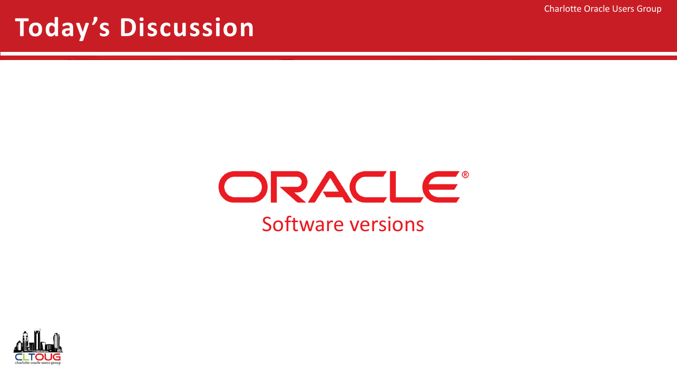Charlotte Oracle Users Group

#### **Today's Discussion**

## ORACLE® Software versions

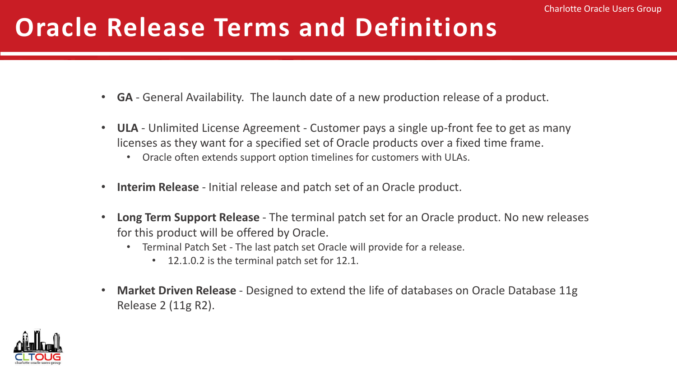## **Oracle Release Terms and Definitions**

- **GA** General Availability. The launch date of a new production release of a product.
- **ULA**  Unlimited License Agreement Customer pays a single up-front fee to get as many licenses as they want for a specified set of Oracle products over a fixed time frame.
	- Oracle often extends support option timelines for customers with ULAs.
- **Interim Release**  Initial release and patch set of an Oracle product.
- **Long Term Support Release**  The terminal patch set for an Oracle product. No new releases for this product will be offered by Oracle.
	- Terminal Patch Set The last patch set Oracle will provide for a release.
		- 12.1.0.2 is the terminal patch set for 12.1.
- **Market Driven Release**  Designed to extend the life of databases on Oracle Database 11g Release 2 (11g R2).

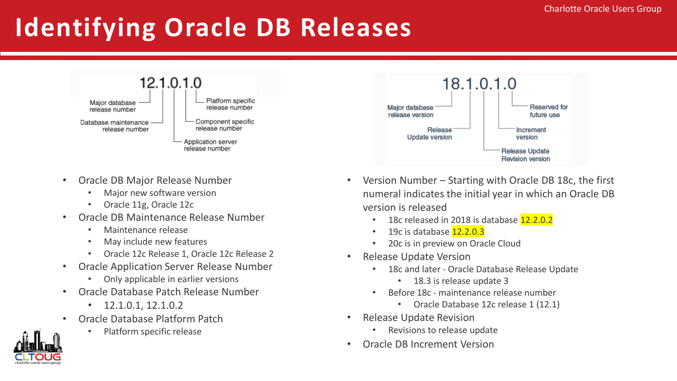Reserved for

future use

Increment

version

Release Update

## **Identifying Oracle DB Releases**



- Oracle DB Major Release Number
	- Major new software version
	- Oracle 11g, Oracle 12c
- Oracle DB Maintenance Release Number
	- Maintenance release
	- May include new features
	- Oracle 12c Release 1, Oracle 12c Release 2
- Oracle Application Server Release Number
	- Only applicable in earlier versions
- Oracle Database Patch Release Number
	- 12.1.0.1, 12.1.0.2
- Oracle Database Platform Patch
	- Platform specific release



18.1.0.1.0

version is released

Release

Update version

- 18c released in 2018 is database 12.2.0.2
- 19c is database 12.2.0.3
- 20c is in preview on Oracle Cloud
- Release Update Version

Major database

release version

- 18c and later Oracle Database Release Update
	- 18.3 is release update 3
- Before 18c maintenance release number
	- Oracle Database 12c release 1 (12.1)
- Release Update Revision
	- Revisions to release update
- Oracle DB Increment Version

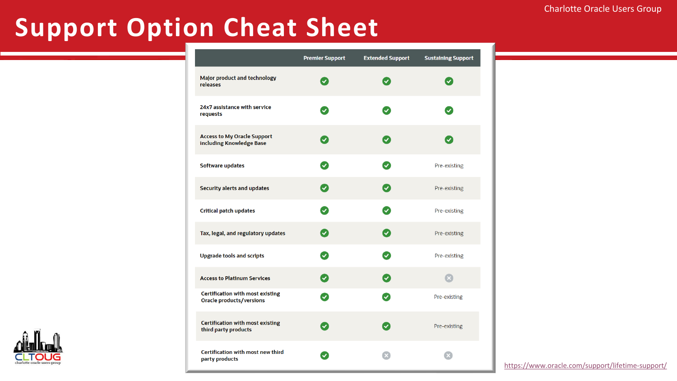#### **Support Option Cheat Sheet**

|                                                                            | <b>Premier Support</b>               | <b>Extended Support</b>     | <b>Sustaining Support</b> |
|----------------------------------------------------------------------------|--------------------------------------|-----------------------------|---------------------------|
| Major product and technology<br>releases                                   |                                      |                             |                           |
| 24x7 assistance with service<br>requests                                   | $\blacktriangledown$                 | ✓                           | $\boldsymbol{\sigma}$     |
| <b>Access to My Oracle Support</b><br>including Knowledge Base             | $ \mathbf{v} $                       | $ \boldsymbol{\checkmark} $ | $\checkmark$              |
| <b>Software updates</b>                                                    | $\boldsymbol{\omega}$                | $\boldsymbol{\mathcal{S}}$  | Pre-existing              |
| <b>Security alerts and updates</b>                                         | $\left( \mathbf{v}\right)$           | $\blacktriangledown$        | Pre-existing              |
| <b>Critical patch updates</b>                                              | $\blacktriangledown$                 | $\blacktriangledown$        | Pre-existing              |
| Tax, legal, and regulatory updates                                         | $\left( \mathbf{v}\right)$           | $ \boldsymbol{\checkmark} $ | Pre-existing              |
| <b>Upgrade tools and scripts</b>                                           | ✓                                    | $\checkmark$                | Pre-existing              |
| <b>Access to Platinum Services</b>                                         | $\left\vert \mathbf{v}\right\rangle$ | $\blacktriangledown$        |                           |
| <b>Certification with most existing</b><br><b>Oracle products/versions</b> | $\blacktriangledown$                 | $\boldsymbol{\mathcal{S}}$  | Pre-existing              |
| <b>Certification with most existing</b><br>third party products            | ✓                                    | $\blacktriangledown$        | Pre-existing              |
| <b>Certification with most new third</b><br>party products                 |                                      |                             |                           |



<https://www.oracle.com/support/lifetime-support/>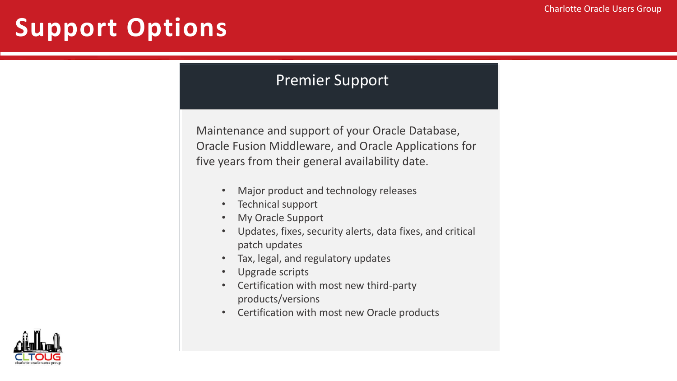## **Support Options**

#### Premier Support

Maintenance and support of your Oracle Database, Oracle Fusion Middleware, and Oracle Applications for five years from their general availability date.

- Major product and technology releases
- Technical support
- My Oracle Support
- Updates, fixes, security alerts, data fixes, and critical patch updates
- Tax, legal, and regulatory updates
- Upgrade scripts
- Certification with most new third-party products/versions
- Certification with most new Oracle products

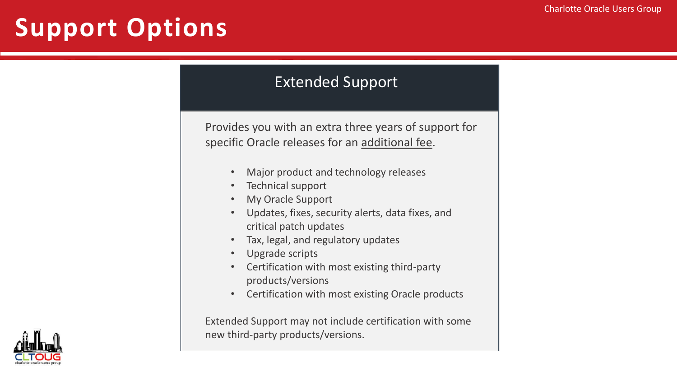## **Support Options**

#### Extended Support

Provides you with an extra three years of support for specific Oracle releases for an additional fee.

- Major product and technology releases
- Technical support
- My Oracle Support
- Updates, fixes, security alerts, data fixes, and critical patch updates
- Tax, legal, and regulatory updates
- Upgrade scripts
- Certification with most existing third-party products/versions
- Certification with most existing Oracle products

Extended Support may not include certification with some new third-party products/versions.

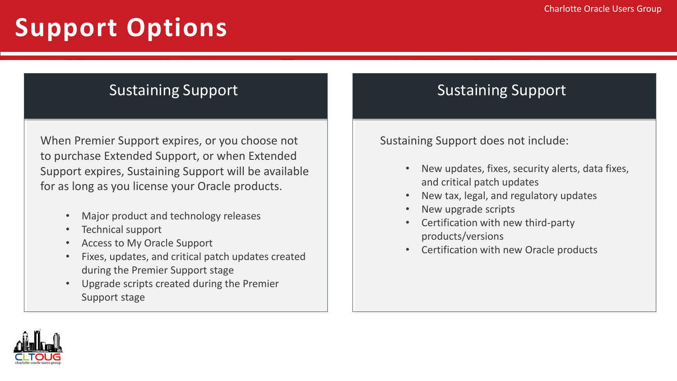## **Support Options**

#### Sustaining Support **Sustaining Support** Sustaining Support

When Premier Support expires, or you choose not to purchase Extended Support, or when Extended Support expires, Sustaining Support will be available for as long as you license your Oracle products.

- Major product and technology releases
- Technical support
- Access to My Oracle Support
- Fixes, updates, and critical patch updates created during the Premier Support stage
- Upgrade scripts created during the Premier Support stage

Sustaining Support does not include:

- New updates, fixes, security alerts, data fixes, and critical patch updates
- New tax, legal, and regulatory updates
- New upgrade scripts
- Certification with new third-party products/versions
- Certification with new Oracle products

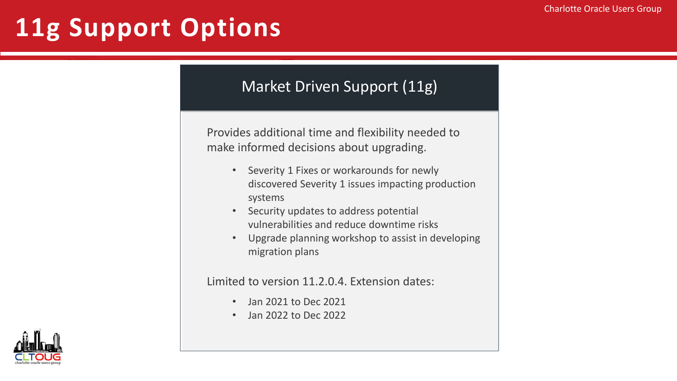## **11g Support Options**

#### Market Driven Support (11g)

Provides additional time and flexibility needed to make informed decisions about upgrading.

- Severity 1 Fixes or workarounds for newly discovered Severity 1 issues impacting production systems
- Security updates to address potential vulnerabilities and reduce downtime risks
- Upgrade planning workshop to assist in developing migration plans

Limited to version 11.2.0.4. Extension dates:

- Jan 2021 to Dec 2021
- Jan 2022 to Dec 2022

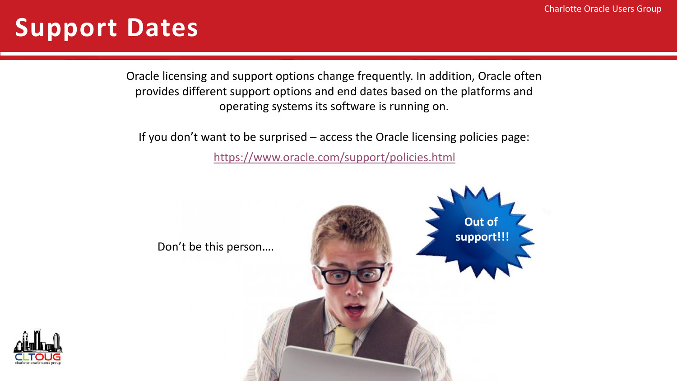#### **Support Dates**

Oracle licensing and support options change frequently. In addition, Oracle often provides different support options and end dates based on the platforms and operating systems its software is running on.

If you don't want to be surprised – access the Oracle licensing policies page:

<https://www.oracle.com/support/policies.html>



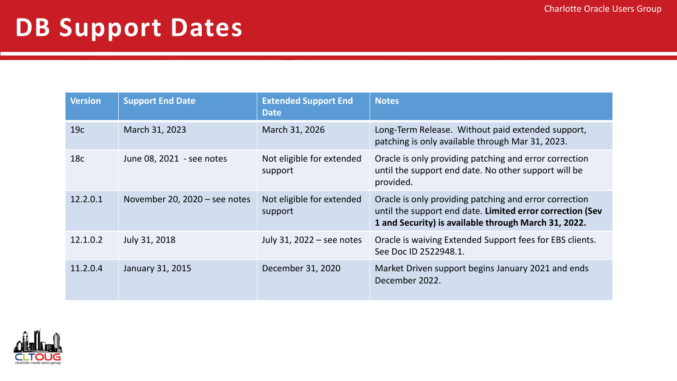#### **DB Support Dates**

| <b>Version</b>  | <b>Support End Date</b>       | <b>Extended Support End</b><br><b>Date</b> | <b>Notes</b>                                                                                                                                                                |
|-----------------|-------------------------------|--------------------------------------------|-----------------------------------------------------------------------------------------------------------------------------------------------------------------------------|
| 19 <sub>c</sub> | March 31, 2023                | March 31, 2026                             | Long-Term Release. Without paid extended support,<br>patching is only available through Mar 31, 2023.                                                                       |
| 18 <sub>c</sub> | June 08, 2021 - see notes     | Not eligible for extended<br>support       | Oracle is only providing patching and error correction<br>until the support end date. No other support will be<br>provided.                                                 |
| 12.2.0.1        | November 20, 2020 - see notes | Not eligible for extended<br>support       | Oracle is only providing patching and error correction<br>until the support end date. Limited error correction (Sev<br>1 and Security) is available through March 31, 2022. |
| 12.1.0.2        | July 31, 2018                 | July 31, 2022 – see notes                  | Oracle is waiving Extended Support fees for EBS clients.<br>See Doc ID 2522948.1.                                                                                           |
| 11.2.0.4        | January 31, 2015              | December 31, 2020                          | Market Driven support begins January 2021 and ends<br>December 2022.                                                                                                        |

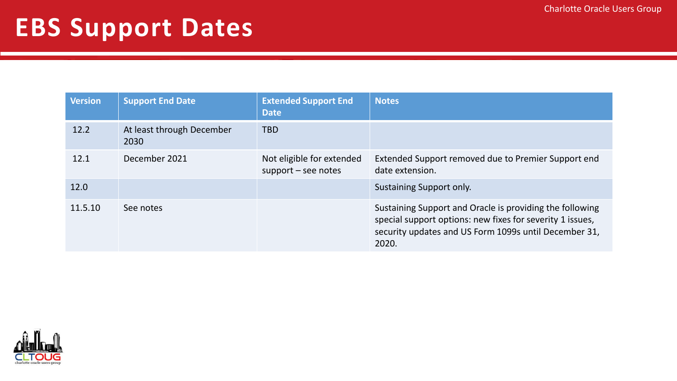#### **EBS Support Dates**

| <b>Version</b> | <b>Support End Date</b>           | <b>Extended Support End</b><br><b>Date</b>         | <b>Notes</b>                                                                                                                                                                            |
|----------------|-----------------------------------|----------------------------------------------------|-----------------------------------------------------------------------------------------------------------------------------------------------------------------------------------------|
| 12.2           | At least through December<br>2030 | <b>TBD</b>                                         |                                                                                                                                                                                         |
| 12.1           | December 2021                     | Not eligible for extended<br>$support - see notes$ | Extended Support removed due to Premier Support end<br>date extension.                                                                                                                  |
| 12.0           |                                   |                                                    | Sustaining Support only.                                                                                                                                                                |
| 11.5.10        | See notes                         |                                                    | Sustaining Support and Oracle is providing the following<br>special support options: new fixes for severity 1 issues,<br>security updates and US Form 1099s until December 31,<br>2020. |

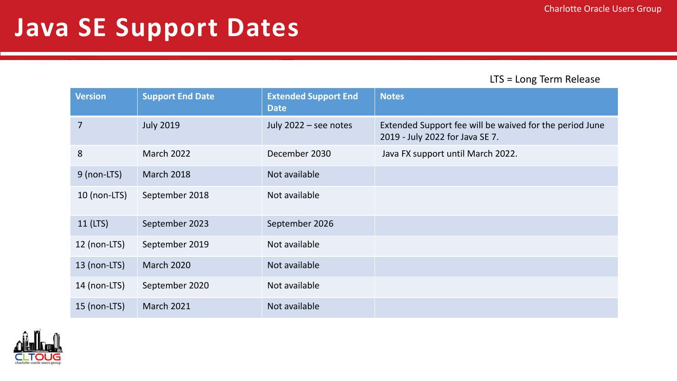#### **Java SE Support Dates**

LTS = Long Term Release

| <b>Version</b> | <b>Support End Date</b> | <b>Extended Support End</b><br><b>Date</b> | <b>Notes</b>                                                                               |
|----------------|-------------------------|--------------------------------------------|--------------------------------------------------------------------------------------------|
| $\overline{7}$ | <b>July 2019</b>        | July 2022 - see notes                      | Extended Support fee will be waived for the period June<br>2019 - July 2022 for Java SE 7. |
| 8              | <b>March 2022</b>       | December 2030                              | Java FX support until March 2022.                                                          |
| 9 (non-LTS)    | <b>March 2018</b>       | Not available                              |                                                                                            |
| $10$ (non-LTS) | September 2018          | Not available                              |                                                                                            |
| 11 (LTS)       | September 2023          | September 2026                             |                                                                                            |
| 12 (non-LTS)   | September 2019          | Not available                              |                                                                                            |
| 13 (non-LTS)   | <b>March 2020</b>       | Not available                              |                                                                                            |
| 14 (non-LTS)   | September 2020          | Not available                              |                                                                                            |
| $15$ (non-LTS) | <b>March 2021</b>       | Not available                              |                                                                                            |

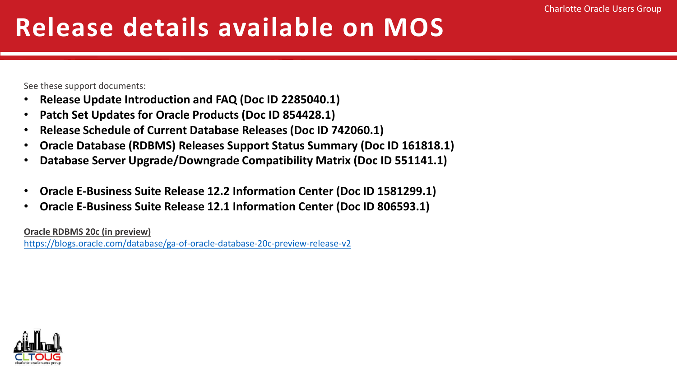## **Release details available on MOS**

See these support documents:

- **Release Update Introduction and FAQ (Doc ID 2285040.1)**
- **Patch Set Updates for Oracle Products (Doc ID 854428.1)**
- **Release Schedule of Current Database Releases (Doc ID 742060.1)**
- **Oracle Database (RDBMS) Releases Support Status Summary (Doc ID 161818.1)**
- **Database Server Upgrade/Downgrade Compatibility Matrix (Doc ID 551141.1)**
- **Oracle E-Business Suite Release 12.2 Information Center (Doc ID 1581299.1)**
- **Oracle E-Business Suite Release 12.1 Information Center (Doc ID 806593.1)**

**Oracle RDBMS 20c (in preview)**

<https://blogs.oracle.com/database/ga-of-oracle-database-20c-preview-release-v2>